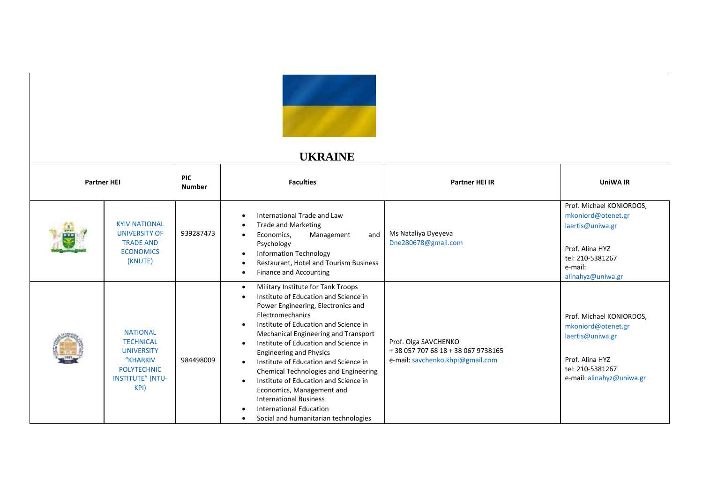

## **UKRAINE**

| <b>Partner HEI</b> |                                                                                                                               | <b>PIC</b><br><b>Number</b> | <b>Faculties</b>                                                                                                                                                                                                                                                                                                                                                                                                                                                                                                                                                     | <b>Partner HEI IR</b>                                                                          | <b>UniWA IR</b>                                                                                                                           |
|--------------------|-------------------------------------------------------------------------------------------------------------------------------|-----------------------------|----------------------------------------------------------------------------------------------------------------------------------------------------------------------------------------------------------------------------------------------------------------------------------------------------------------------------------------------------------------------------------------------------------------------------------------------------------------------------------------------------------------------------------------------------------------------|------------------------------------------------------------------------------------------------|-------------------------------------------------------------------------------------------------------------------------------------------|
| 轟                  | <b>KYIV NATIONAL</b><br><b>UNIVERSITY OF</b><br><b>TRADE AND</b><br><b>ECONOMICS</b><br>(KNUTE)                               | 939287473                   | International Trade and Law<br><b>Trade and Marketing</b><br>Management<br>and<br>Economics,<br>$\bullet$<br>Psychology<br><b>Information Technology</b><br>Restaurant, Hotel and Tourism Business<br><b>Finance and Accounting</b>                                                                                                                                                                                                                                                                                                                                  | Ms Nataliya Dyeyeva<br>Dne280678@gmail.com                                                     | Prof. Michael KONIORDOS,<br>mkoniord@otenet.gr<br>laertis@uniwa.gr<br>Prof. Alina HYZ<br>tel: 210-5381267<br>e-mail:<br>alinahyz@uniwa.gr |
|                    | <b>NATIONAL</b><br><b>TECHNICAL</b><br><b>UNIVERSITY</b><br>"KHARKIV<br><b>POLYTECHNIC</b><br><b>INSTITUTE" (NTU-</b><br>KPI) | 984498009                   | Military Institute for Tank Troops<br>Institute of Education and Science in<br>Power Engineering, Electronics and<br>Electromechanics<br>Institute of Education and Science in<br>Mechanical Engineering and Transport<br>Institute of Education and Science in<br><b>Engineering and Physics</b><br>Institute of Education and Science in<br>Chemical Technologies and Engineering<br>Institute of Education and Science in<br>Economics, Management and<br><b>International Business</b><br><b>International Education</b><br>Social and humanitarian technologies | Prof. Olga SAVCHENKO<br>+38 057 707 68 18 + 38 067 9738165<br>e-mail: savchenko.khpi@gmail.com | Prof. Michael KONIORDOS,<br>mkoniord@otenet.gr<br>laertis@uniwa.gr<br>Prof. Alina HYZ<br>tel: 210-5381267<br>e-mail: alinahyz@uniwa.gr    |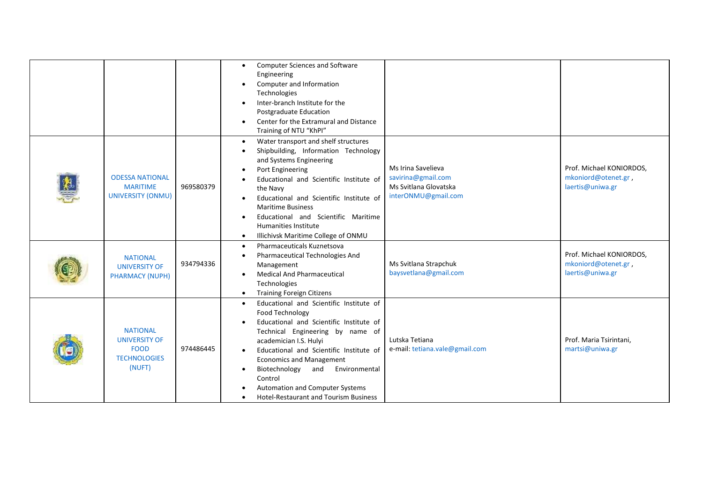|                                                                                         |           | <b>Computer Sciences and Software</b><br>$\bullet$<br>Engineering<br>Computer and Information<br>٠<br>Technologies                                                                                                                                                                                                                                                                                                              |                                                                                          |                                                                     |
|-----------------------------------------------------------------------------------------|-----------|---------------------------------------------------------------------------------------------------------------------------------------------------------------------------------------------------------------------------------------------------------------------------------------------------------------------------------------------------------------------------------------------------------------------------------|------------------------------------------------------------------------------------------|---------------------------------------------------------------------|
|                                                                                         |           | Inter-branch Institute for the<br>$\bullet$<br>Postgraduate Education<br>Center for the Extramural and Distance<br>$\bullet$<br>Training of NTU "KhPI"                                                                                                                                                                                                                                                                          |                                                                                          |                                                                     |
| <b>ODESSA NATIONAL</b><br><b>MARITIME</b><br><b>UNIVERSITY (ONMU)</b>                   | 969580379 | Water transport and shelf structures<br>$\bullet$<br>Shipbuilding, Information Technology<br>and Systems Engineering<br>Port Engineering<br>Educational and Scientific Institute of<br>the Navy<br>Educational and Scientific Institute of<br><b>Maritime Business</b><br>Educational and Scientific Maritime<br><b>Humanities Institute</b><br>Illichivsk Maritime College of ONMU<br>$\bullet$                                | Ms Irina Savelieva<br>savirina@gmail.com<br>Ms Svitlana Glovatska<br>interONMU@gmail.com | Prof. Michael KONIORDOS,<br>mkoniord@otenet.gr,<br>laertis@uniwa.gr |
| <b>NATIONAL</b><br><b>UNIVERSITY OF</b><br><b>PHARMACY (NUPH)</b>                       | 934794336 | <b>Pharmaceuticals Kuznetsova</b><br>$\bullet$<br>Pharmaceutical Technologies And<br>Management<br><b>Medical And Pharmaceutical</b><br>$\bullet$<br>Technologies<br><b>Training Foreign Citizens</b>                                                                                                                                                                                                                           | Ms Svitlana Strapchuk<br>baysvetlana@gmail.com                                           | Prof. Michael KONIORDOS,<br>mkoniord@otenet.gr,<br>laertis@uniwa.gr |
| <b>NATIONAL</b><br><b>UNIVERSITY OF</b><br><b>FOOD</b><br><b>TECHNOLOGIES</b><br>(NUFT) | 974486445 | Educational and Scientific Institute of<br>$\bullet$<br>Food Technology<br>Educational and Scientific Institute of<br>Technical Engineering by name of<br>academician I.S. Hulyi<br>Educational and Scientific Institute of<br>$\bullet$<br><b>Economics and Management</b><br>Biotechnology<br>Environmental<br>and<br>$\bullet$<br>Control<br>Automation and Computer Systems<br><b>Hotel-Restaurant and Tourism Business</b> | Lutska Tetiana<br>e-mail: tetiana.vale@gmail.com                                         | Prof. Maria Tsirintani,<br>martsi@uniwa.gr                          |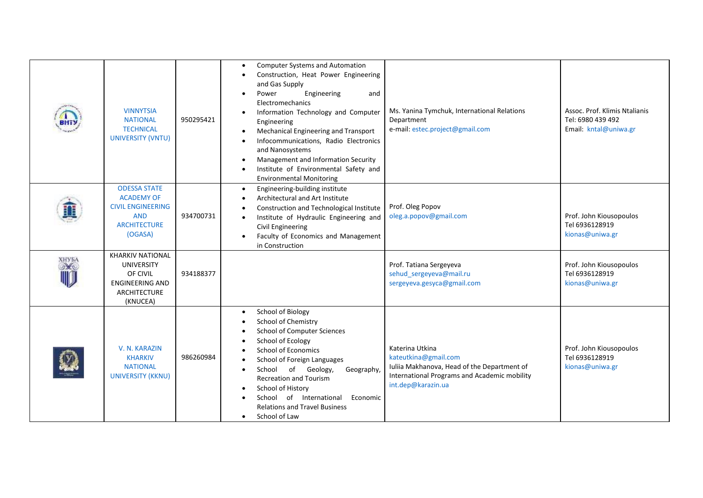| шт           | <b>VINNYTSIA</b><br><b>NATIONAL</b><br><b>TECHNICAL</b><br>UNIVERSITY (VNTU)                                         | 950295421 | <b>Computer Systems and Automation</b><br>Construction, Heat Power Engineering<br>and Gas Supply<br>Engineering<br>Power<br>and<br>$\bullet$<br>Electromechanics<br>Information Technology and Computer<br>Engineering<br>Mechanical Engineering and Transport<br>Infocommunications, Radio Electronics<br>and Nanosystems<br>Management and Information Security<br>Institute of Environmental Safety and<br><b>Environmental Monitoring</b> | Ms. Yanina Tymchuk, International Relations<br>Department<br>e-mail: estec.project@gmail.com                                                                 | Assoc. Prof. Klimis Ntalianis<br>Tel: 6980 439 492<br>Email: kntal@uniwa.gr |
|--------------|----------------------------------------------------------------------------------------------------------------------|-----------|-----------------------------------------------------------------------------------------------------------------------------------------------------------------------------------------------------------------------------------------------------------------------------------------------------------------------------------------------------------------------------------------------------------------------------------------------|--------------------------------------------------------------------------------------------------------------------------------------------------------------|-----------------------------------------------------------------------------|
|              | <b>ODESSA STATE</b><br><b>ACADEMY OF</b><br><b>CIVIL ENGINEERING</b><br><b>AND</b><br><b>ARCHITECTURE</b><br>(OGASA) | 934700731 | Engineering-building institute<br>$\bullet$<br>Architectural and Art Institute<br>Construction and Technological Institute<br>Institute of Hydraulic Engineering and<br>Civil Engineering<br>Faculty of Economics and Management<br>in Construction                                                                                                                                                                                           | Prof. Oleg Popov<br>oleg.a.popov@gmail.com                                                                                                                   | Prof. John Kiousopoulos<br>Tel 6936128919<br>kionas@uniwa.gr                |
| <b>XHYEA</b> | <b>KHARKIV NATIONAL</b><br><b>UNIVERSITY</b><br>OF CIVIL<br><b>ENGINEERING AND</b><br>ARCHITECTURE<br>(KNUCEA)       | 934188377 |                                                                                                                                                                                                                                                                                                                                                                                                                                               | Prof. Tatiana Sergeyeva<br>sehud_sergeyeva@mail.ru<br>sergeyeva.gesyca@gmail.com                                                                             | Prof. John Kiousopoulos<br>Tel 6936128919<br>kionas@uniwa.gr                |
|              | V. N. KARAZIN<br><b>KHARKIV</b><br><b>NATIONAL</b><br><b>UNIVERSITY (KKNU)</b>                                       | 986260984 | School of Biology<br>School of Chemistry<br><b>School of Computer Sciences</b><br>School of Ecology<br><b>School of Economics</b><br>School of Foreign Languages<br>School of Geology,<br>Geography,<br><b>Recreation and Tourism</b><br>School of History<br>School of International<br>Economic<br><b>Relations and Travel Business</b><br>School of Law<br>$\bullet$                                                                       | Katerina Utkina<br>kateutkina@gmail.com<br>Iuliia Makhanova, Head of the Department of<br>International Programs and Academic mobility<br>int.dep@karazin.ua | Prof. John Kiousopoulos<br>Tel 6936128919<br>kionas@uniwa.gr                |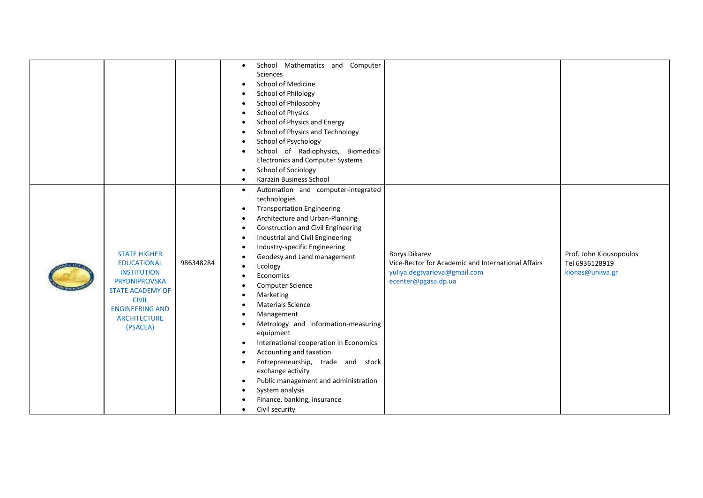|                                                                                                                                                                                                 |           | School Mathematics and Computer<br>$\bullet$<br>Sciences<br>School of Medicine<br>$\bullet$<br>School of Philology<br>School of Philosophy<br><b>School of Physics</b><br>School of Physics and Energy<br>School of Physics and Technology<br>School of Psychology<br>School of Radiophysics, Biomedical<br><b>Electronics and Computer Systems</b><br>School of Sociology<br>$\bullet$<br>Karazin Business School<br>$\bullet$                                                                                                                                                                                                                                                                                                       |                                                                                                                                   |                                                              |
|-------------------------------------------------------------------------------------------------------------------------------------------------------------------------------------------------|-----------|---------------------------------------------------------------------------------------------------------------------------------------------------------------------------------------------------------------------------------------------------------------------------------------------------------------------------------------------------------------------------------------------------------------------------------------------------------------------------------------------------------------------------------------------------------------------------------------------------------------------------------------------------------------------------------------------------------------------------------------|-----------------------------------------------------------------------------------------------------------------------------------|--------------------------------------------------------------|
| <b>STATE HIGHER</b><br><b>EDUCATIONAL</b><br><b>INSTITUTION</b><br><b>PRYDNIPROVSKA</b><br><b>STATE ACADEMY OF</b><br><b>CIVIL</b><br><b>ENGINEERING AND</b><br><b>ARCHITECTURE</b><br>(PSACEA) | 986348284 | Automation and computer-integrated<br>$\bullet$<br>technologies<br><b>Transportation Engineering</b><br>$\bullet$<br>Architecture and Urban-Planning<br><b>Construction and Civil Engineering</b><br>Industrial and Civil Engineering<br>٠<br>Industry-specific Engineering<br>Geodesy and Land management<br>Ecology<br>Economics<br><b>Computer Science</b><br>Marketing<br><b>Materials Science</b><br>Management<br>Metrology and information-measuring<br>equipment<br>International cooperation in Economics<br>٠<br>Accounting and taxation<br>Entrepreneurship, trade and stock<br>exchange activity<br>Public management and administration<br>$\bullet$<br>System analysis<br>Finance, banking, insurance<br>Civil security | <b>Borys Dikarev</b><br>Vice-Rector for Academic and International Affairs<br>yuliya.degtyariova@gmail.com<br>ecenter@pgasa.dp.ua | Prof. John Kiousopoulos<br>Tel 6936128919<br>kionas@uniwa.gr |